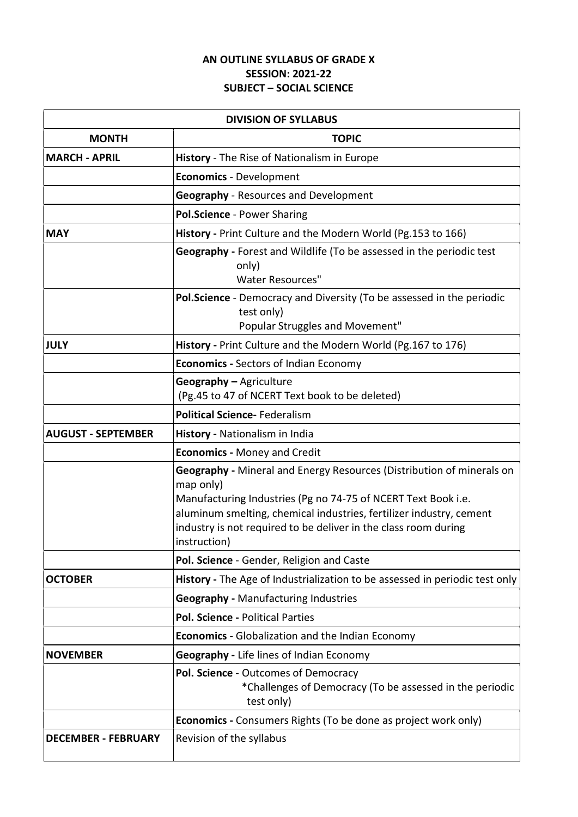## AN OUTLINE SYLLABUS OF GRADE X SESSION: 2021-22 SUBJECT – SOCIAL SCIENCE

| <b>DIVISION OF SYLLABUS</b> |                                                                                                                                                                                                                                                                                                                      |  |  |
|-----------------------------|----------------------------------------------------------------------------------------------------------------------------------------------------------------------------------------------------------------------------------------------------------------------------------------------------------------------|--|--|
| <b>MONTH</b>                | <b>TOPIC</b>                                                                                                                                                                                                                                                                                                         |  |  |
| <b>MARCH - APRIL</b>        | History - The Rise of Nationalism in Europe                                                                                                                                                                                                                                                                          |  |  |
|                             | <b>Economics - Development</b>                                                                                                                                                                                                                                                                                       |  |  |
|                             | <b>Geography</b> - Resources and Development                                                                                                                                                                                                                                                                         |  |  |
|                             | Pol.Science - Power Sharing                                                                                                                                                                                                                                                                                          |  |  |
| <b>MAY</b>                  | History - Print Culture and the Modern World (Pg.153 to 166)                                                                                                                                                                                                                                                         |  |  |
|                             | Geography - Forest and Wildlife (To be assessed in the periodic test<br>only)<br><b>Water Resources"</b>                                                                                                                                                                                                             |  |  |
|                             | <b>Pol.Science</b> - Democracy and Diversity (To be assessed in the periodic<br>test only)<br>Popular Struggles and Movement"                                                                                                                                                                                        |  |  |
| <b>JULY</b>                 | History - Print Culture and the Modern World (Pg.167 to 176)                                                                                                                                                                                                                                                         |  |  |
|                             | <b>Economics - Sectors of Indian Economy</b>                                                                                                                                                                                                                                                                         |  |  |
|                             | Geography - Agriculture<br>(Pg.45 to 47 of NCERT Text book to be deleted)                                                                                                                                                                                                                                            |  |  |
|                             | <b>Political Science-Federalism</b>                                                                                                                                                                                                                                                                                  |  |  |
| <b>AUGUST - SEPTEMBER</b>   | History - Nationalism in India                                                                                                                                                                                                                                                                                       |  |  |
|                             | <b>Economics - Money and Credit</b>                                                                                                                                                                                                                                                                                  |  |  |
|                             | <b>Geography</b> - Mineral and Energy Resources (Distribution of minerals on<br>map only)<br>Manufacturing Industries (Pg no 74-75 of NCERT Text Book i.e.<br>aluminum smelting, chemical industries, fertilizer industry, cement<br>industry is not required to be deliver in the class room during<br>instruction) |  |  |
|                             | Pol. Science - Gender, Religion and Caste                                                                                                                                                                                                                                                                            |  |  |
| <b>OCTOBER</b>              | History - The Age of Industrialization to be assessed in periodic test only                                                                                                                                                                                                                                          |  |  |
|                             | <b>Geography - Manufacturing Industries</b>                                                                                                                                                                                                                                                                          |  |  |
|                             | Pol. Science - Political Parties                                                                                                                                                                                                                                                                                     |  |  |
|                             | <b>Economics</b> - Globalization and the Indian Economy                                                                                                                                                                                                                                                              |  |  |
| <b>NOVEMBER</b>             | Geography - Life lines of Indian Economy                                                                                                                                                                                                                                                                             |  |  |
|                             | Pol. Science - Outcomes of Democracy<br>*Challenges of Democracy (To be assessed in the periodic<br>test only)                                                                                                                                                                                                       |  |  |
|                             | <b>Economics</b> - Consumers Rights (To be done as project work only)                                                                                                                                                                                                                                                |  |  |
| <b>DECEMBER - FEBRUARY</b>  | Revision of the syllabus                                                                                                                                                                                                                                                                                             |  |  |